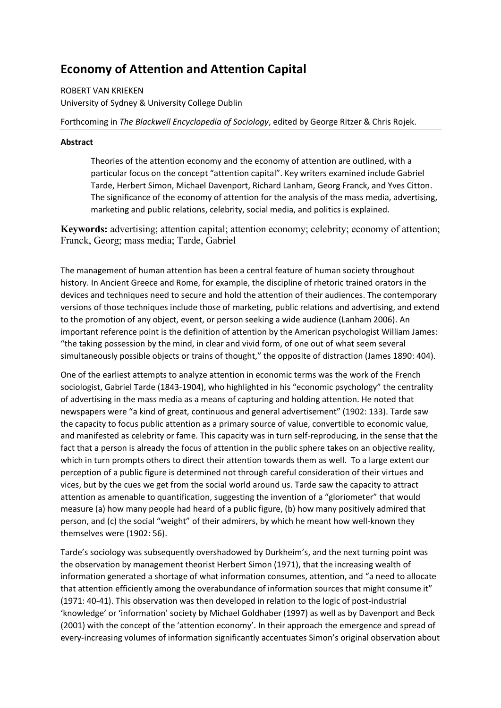# **Economy of Attention and Attention Capital**

ROBERT VAN KRIEKEN University of Sydney & University College Dublin

Forthcoming in *The Blackwell Encyclopedia of Sociology*, edited by George Ritzer & Chris Rojek.

### **Abstract**

Theories of the attention economy and the economy of attention are outlined, with a particular focus on the concept "attention capital". Key writers examined include Gabriel Tarde, Herbert Simon, Michael Davenport, Richard Lanham, Georg Franck, and Yves Citton. The significance of the economy of attention for the analysis of the mass media, advertising, marketing and public relations, celebrity, social media, and politics is explained.

**Keywords:** advertising; attention capital; attention economy; celebrity; economy of attention; Franck, Georg; mass media; Tarde, Gabriel

The management of human attention has been a central feature of human society throughout history. In Ancient Greece and Rome, for example, the discipline of rhetoric trained orators in the devices and techniques need to secure and hold the attention of their audiences. The contemporary versions of those techniques include those of marketing, public relations and advertising, and extend to the promotion of any object, event, or person seeking a wide audience (Lanham 2006). An important reference point is the definition of attention by the American psychologist William James: "the taking possession by the mind, in clear and vivid form, of one out of what seem several simultaneously possible objects or trains of thought," the opposite of distraction (James 1890: 404).

One of the earliest attempts to analyze attention in economic terms was the work of the French sociologist, Gabriel Tarde (1843-1904), who highlighted in his "economic psychology" the centrality of advertising in the mass media as a means of capturing and holding attention. He noted that newspapers were "a kind of great, continuous and general advertisement" (1902: 133). Tarde saw the capacity to focus public attention as a primary source of value, convertible to economic value, and manifested as celebrity or fame. This capacity was in turn self-reproducing, in the sense that the fact that a person is already the focus of attention in the public sphere takes on an objective reality, which in turn prompts others to direct their attention towards them as well. To a large extent our perception of a public figure is determined not through careful consideration of their virtues and vices, but by the cues we get from the social world around us. Tarde saw the capacity to attract attention as amenable to quantification, suggesting the invention of a "gloriometer" that would measure (a) how many people had heard of a public figure, (b) how many positively admired that person, and (c) the social "weight" of their admirers, by which he meant how well-known they themselves were (1902: 56).

Tarde's sociology was subsequently overshadowed by Durkheim's, and the next turning point was the observation by management theorist Herbert Simon (1971), that the increasing wealth of information generated a shortage of what information consumes, attention, and "a need to allocate that attention efficiently among the overabundance of information sources that might consume it" (1971: 40-41). This observation was then developed in relation to the logic of post-industrial 'knowledge' or 'information' society by Michael Goldhaber (1997) as well as by Davenport and Beck (2001) with the concept of the 'attention economy'. In their approach the emergence and spread of every-increasing volumes of information significantly accentuates Simon's original observation about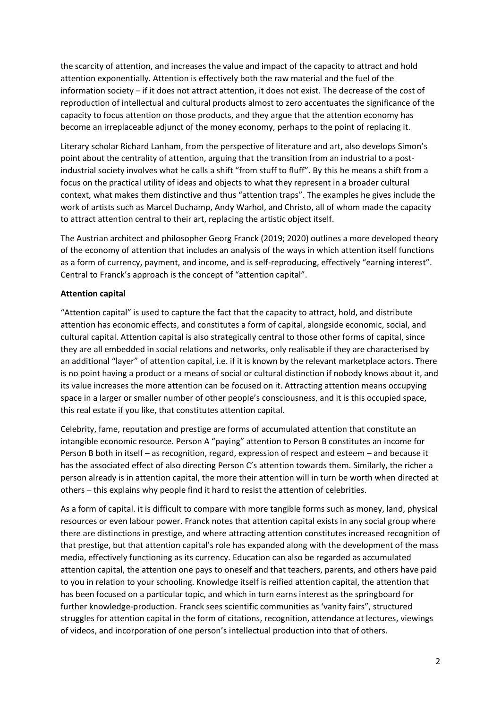the scarcity of attention, and increases the value and impact of the capacity to attract and hold attention exponentially. Attention is effectively both the raw material and the fuel of the information society – if it does not attract attention, it does not exist. The decrease of the cost of reproduction of intellectual and cultural products almost to zero accentuates the significance of the capacity to focus attention on those products, and they argue that the attention economy has become an irreplaceable adjunct of the money economy, perhaps to the point of replacing it.

Literary scholar Richard Lanham, from the perspective of literature and art, also develops Simon's point about the centrality of attention, arguing that the transition from an industrial to a postindustrial society involves what he calls a shift "from stuff to fluff". By this he means a shift from a focus on the practical utility of ideas and objects to what they represent in a broader cultural context, what makes them distinctive and thus "attention traps". The examples he gives include the work of artists such as Marcel Duchamp, Andy Warhol, and Christo, all of whom made the capacity to attract attention central to their art, replacing the artistic object itself.

The Austrian architect and philosopher Georg Franck (2019; 2020) outlines a more developed theory of the economy of attention that includes an analysis of the ways in which attention itself functions as a form of currency, payment, and income, and is self-reproducing, effectively "earning interest". Central to Franck's approach is the concept of "attention capital".

### **Attention capital**

"Attention capital" is used to capture the fact that the capacity to attract, hold, and distribute attention has economic effects, and constitutes a form of capital, alongside economic, social, and cultural capital. Attention capital is also strategically central to those other forms of capital, since they are all embedded in social relations and networks, only realisable if they are characterised by an additional "layer" of attention capital, i.e. if it is known by the relevant marketplace actors. There is no point having a product or a means of social or cultural distinction if nobody knows about it, and its value increases the more attention can be focused on it. Attracting attention means occupying space in a larger or smaller number of other people's consciousness, and it is this occupied space, this real estate if you like, that constitutes attention capital.

Celebrity, fame, reputation and prestige are forms of accumulated attention that constitute an intangible economic resource. Person A "paying" attention to Person B constitutes an income for Person B both in itself – as recognition, regard, expression of respect and esteem – and because it has the associated effect of also directing Person C's attention towards them. Similarly, the richer a person already is in attention capital, the more their attention will in turn be worth when directed at others – this explains why people find it hard to resist the attention of celebrities.

As a form of capital. it is difficult to compare with more tangible forms such as money, land, physical resources or even labour power. Franck notes that attention capital exists in any social group where there are distinctions in prestige, and where attracting attention constitutes increased recognition of that prestige, but that attention capital's role has expanded along with the development of the mass media, effectively functioning as its currency. Education can also be regarded as accumulated attention capital, the attention one pays to oneself and that teachers, parents, and others have paid to you in relation to your schooling. Knowledge itself is reified attention capital, the attention that has been focused on a particular topic, and which in turn earns interest as the springboard for further knowledge-production. Franck sees scientific communities as 'vanity fairs", structured struggles for attention capital in the form of citations, recognition, attendance at lectures, viewings of videos, and incorporation of one person's intellectual production into that of others.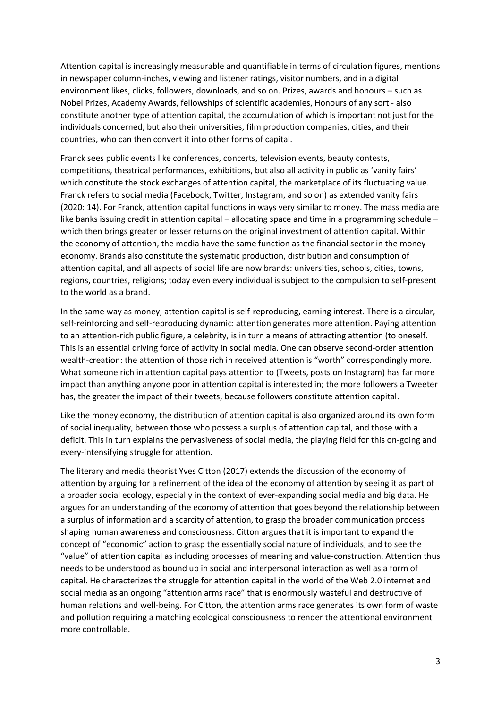Attention capital is increasingly measurable and quantifiable in terms of circulation figures, mentions in newspaper column-inches, viewing and listener ratings, visitor numbers, and in a digital environment likes, clicks, followers, downloads, and so on. Prizes, awards and honours – such as Nobel Prizes, Academy Awards, fellowships of scientific academies, Honours of any sort - also constitute another type of attention capital, the accumulation of which is important not just for the individuals concerned, but also their universities, film production companies, cities, and their countries, who can then convert it into other forms of capital.

Franck sees public events like conferences, concerts, television events, beauty contests, competitions, theatrical performances, exhibitions, but also all activity in public as 'vanity fairs' which constitute the stock exchanges of attention capital, the marketplace of its fluctuating value. Franck refers to social media (Facebook, Twitter, Instagram, and so on) as extended vanity fairs (2020: 14). For Franck, attention capital functions in ways very similar to money. The mass media are like banks issuing credit in attention capital – allocating space and time in a programming schedule – which then brings greater or lesser returns on the original investment of attention capital. Within the economy of attention, the media have the same function as the financial sector in the money economy. Brands also constitute the systematic production, distribution and consumption of attention capital, and all aspects of social life are now brands: universities, schools, cities, towns, regions, countries, religions; today even every individual is subject to the compulsion to self-present to the world as a brand.

In the same way as money, attention capital is self-reproducing, earning interest. There is a circular, self-reinforcing and self-reproducing dynamic: attention generates more attention. Paying attention to an attention-rich public figure, a celebrity, is in turn a means of attracting attention (to oneself. This is an essential driving force of activity in social media. One can observe second-order attention wealth-creation: the attention of those rich in received attention is "worth" correspondingly more. What someone rich in attention capital pays attention to (Tweets, posts on Instagram) has far more impact than anything anyone poor in attention capital is interested in; the more followers a Tweeter has, the greater the impact of their tweets, because followers constitute attention capital.

Like the money economy, the distribution of attention capital is also organized around its own form of social inequality, between those who possess a surplus of attention capital, and those with a deficit. This in turn explains the pervasiveness of social media, the playing field for this on-going and every-intensifying struggle for attention.

The literary and media theorist Yves Citton (2017) extends the discussion of the economy of attention by arguing for a refinement of the idea of the economy of attention by seeing it as part of a broader social ecology, especially in the context of ever-expanding social media and big data. He argues for an understanding of the economy of attention that goes beyond the relationship between a surplus of information and a scarcity of attention, to grasp the broader communication process shaping human awareness and consciousness. Citton argues that it is important to expand the concept of "economic" action to grasp the essentially social nature of individuals, and to see the "value" of attention capital as including processes of meaning and value-construction. Attention thus needs to be understood as bound up in social and interpersonal interaction as well as a form of capital. He characterizes the struggle for attention capital in the world of the Web 2.0 internet and social media as an ongoing "attention arms race" that is enormously wasteful and destructive of human relations and well-being. For Citton, the attention arms race generates its own form of waste and pollution requiring a matching ecological consciousness to render the attentional environment more controllable.